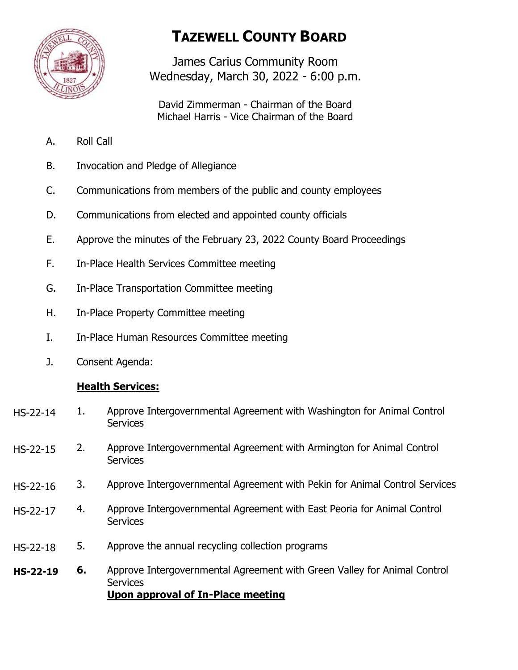

# **TAZEWELL COUNTY BOARD**

James Carius Community Room Wednesday, March 30, 2022 - 6:00 p.m.

David Zimmerman - Chairman of the Board Michael Harris - Vice Chairman of the Board

- A. Roll Call
- B. Invocation and Pledge of Allegiance
- C. Communications from members of the public and county employees
- D. Communications from elected and appointed county officials
- E. Approve the minutes of the February 23, 2022 County Board Proceedings
- F. In-Place Health Services Committee meeting
- G. In-Place Transportation Committee meeting
- H. In-Place Property Committee meeting
- I. In-Place Human Resources Committee meeting
- J. Consent Agenda:

## **Health Services:**

- 1. Approve Intergovernmental Agreement with Washington for Animal Control **Services** HS-22-14
- 2. Approve Intergovernmental Agreement with Armington for Animal Control **Services** HS-22-15
- 3. Approve Intergovernmental Agreement with Pekin for Animal Control Services HS-22-16
- 4. Approve Intergovernmental Agreement with East Peoria for Animal Control **Services** HS-22-17
- 5. Approve the annual recycling collection programs HS-22-18
- **6.** Approve Intergovernmental Agreement with Green Valley for Animal Control **Services Upon approval of In-Place meeting HS-22-19**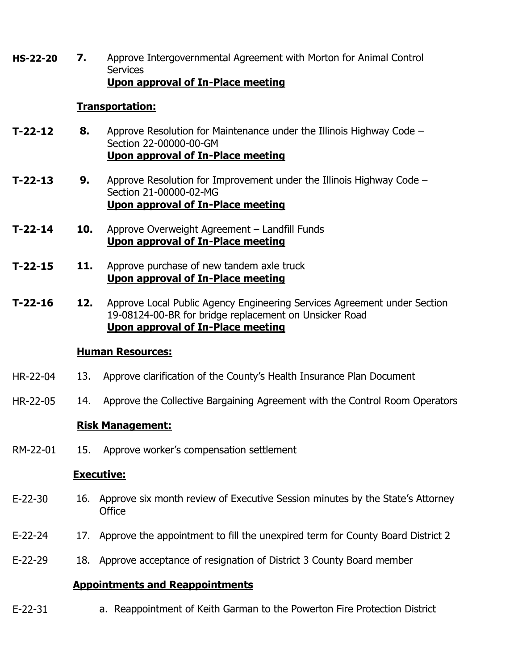**7.** Approve Intergovernmental Agreement with Morton for Animal Control **Services Upon approval of In-Place meeting HS-22-20**

#### **Transportation:**

- **8.** Approve Resolution for Maintenance under the Illinois Highway Code Section 22-00000-00-GM **Upon approval of In-Place meeting T-22-12**
- **9.** Approve Resolution for Improvement under the Illinois Highway Code Section 21-00000-02-MG **Upon approval of In-Place meeting T-22-13**
- **10.** Approve Overweight Agreement Landfill Funds **Upon approval of In-Place meeting T-22-14**
- **11.** Approve purchase of new tandem axle truck **Upon approval of In-Place meeting T-22-15**
- **12.** Approve Local Public Agency Engineering Services Agreement under Section 19-08124-00-BR for bridge replacement on Unsicker Road **Upon approval of In-Place meeting T-22-16**

#### **Human Resources:**

- 13. Approve clarification of the County's Health Insurance Plan Document HR-22-04
- 14. Approve the Collective Bargaining Agreement with the Control Room Operators HR-22-05

## **Risk Management:**

15. Approve worker's compensation settlement RM-22-01

## **Executive:**

- 16. Approve six month review of Executive Session minutes by the State's Attorney **Office** E-22-30
- 17. Approve the appointment to fill the unexpired term for County Board District 2 E-22-24
- 18. Approve acceptance of resignation of District 3 County Board member E-22-29

# **Appointments and Reappointments**

a. Reappointment of Keith Garman to the Powerton Fire Protection District E-22-31